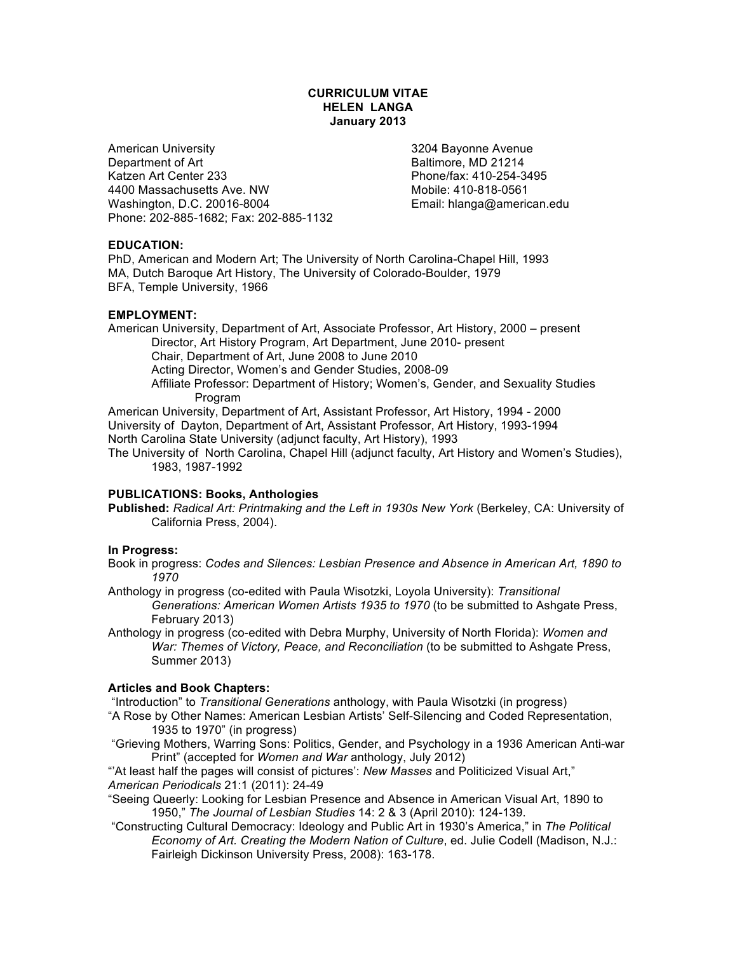# **CURRICULUM VITAE HELEN LANGA January 2013**

American University 3204 Bayonne Avenue Department of Art **Baltimore, MD 21214** Katzen Art Center 233 **Phone/fax: 410-254-3495** 4400 Massachusetts Ave. NW Mobile: 410-818-0561 Washington, D.C. 20016-8004 **Email: hlanga@american.edu** Phone: 202-885-1682; Fax: 202-885-1132

# **EDUCATION:**

PhD, American and Modern Art; The University of North Carolina-Chapel Hill, 1993 MA, Dutch Baroque Art History, The University of Colorado-Boulder, 1979 BFA, Temple University, 1966

# **EMPLOYMENT:**

American University, Department of Art, Associate Professor, Art History, 2000 – present Director, Art History Program, Art Department, June 2010- present Chair, Department of Art, June 2008 to June 2010 Acting Director, Women's and Gender Studies, 2008-09 Affiliate Professor: Department of History; Women's, Gender, and Sexuality Studies Program American University, Department of Art, Assistant Professor, Art History, 1994 - 2000

University of Dayton, Department of Art, Assistant Professor, Art History, 1993-1994 North Carolina State University (adjunct faculty, Art History), 1993

The University of North Carolina, Chapel Hill (adjunct faculty, Art History and Women's Studies), 1983, 1987-1992

# **PUBLICATIONS: Books, Anthologies**

**Published:** *Radical Art: Printmaking and the Left in 1930s New York* (Berkeley, CA: University of California Press, 2004).

### **In Progress:**

Book in progress: *Codes and Silences: Lesbian Presence and Absence in American Art, 1890 to 1970*

Anthology in progress (co-edited with Paula Wisotzki, Loyola University): *Transitional Generations: American Women Artists 1935 to 1970* (to be submitted to Ashgate Press, February 2013)

Anthology in progress (co-edited with Debra Murphy, University of North Florida): *Women and War: Themes of Victory, Peace, and Reconciliation* (to be submitted to Ashgate Press, Summer 2013)

# **Articles and Book Chapters:**

"Introduction" to *Transitional Generations* anthology, with Paula Wisotzki (in progress)

"A Rose by Other Names: American Lesbian Artists' Self-Silencing and Coded Representation, 1935 to 1970" (in progress)

"Grieving Mothers, Warring Sons: Politics, Gender, and Psychology in a 1936 American Anti-war Print" (accepted for *Women and War* anthology, July 2012)

"'At least half the pages will consist of pictures': *New Masses* and Politicized Visual Art," *American Periodicals* 21:1 (2011): 24-49

"Seeing Queerly: Looking for Lesbian Presence and Absence in American Visual Art, 1890 to 1950," *The Journal of Lesbian Studies* 14: 2 & 3 (April 2010): 124-139.

"Constructing Cultural Democracy: Ideology and Public Art in 1930's America," in *The Political Economy of Art. Creating the Modern Nation of Culture*, ed. Julie Codell (Madison, N.J.: Fairleigh Dickinson University Press, 2008): 163-178.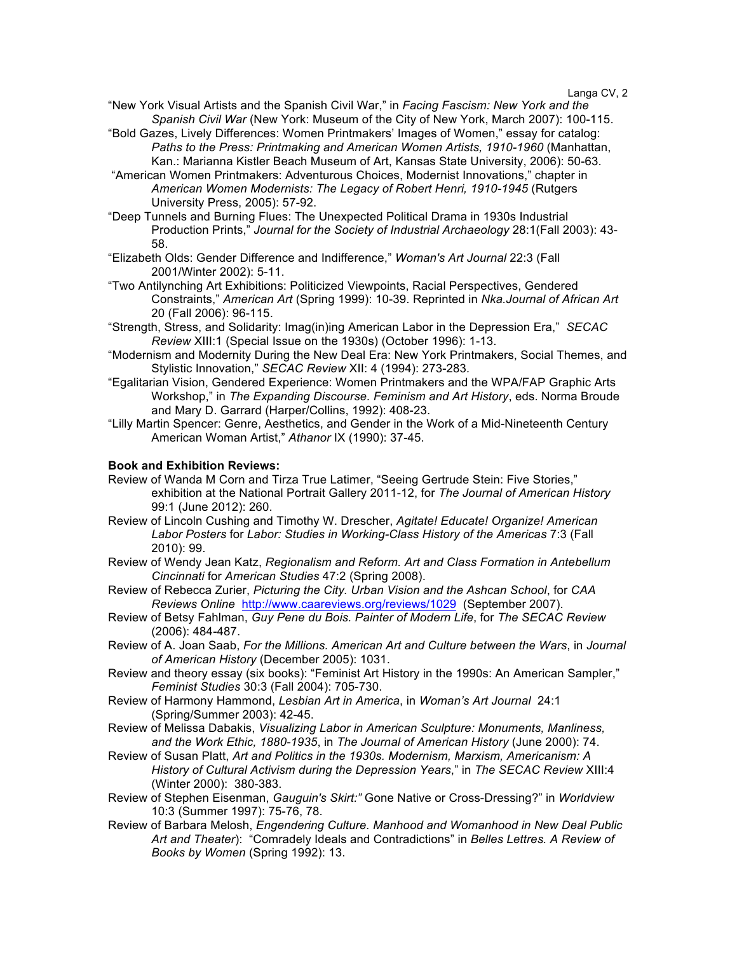- "New York Visual Artists and the Spanish Civil War," in *Facing Fascism: New York and the Spanish Civil War* (New York: Museum of the City of New York, March 2007): 100-115.
- "Bold Gazes, Lively Differences: Women Printmakers' Images of Women," essay for catalog: *Paths to the Press: Printmaking and American Women Artists, 1910-1960* (Manhattan, Kan.: Marianna Kistler Beach Museum of Art, Kansas State University, 2006): 50-63.
- "American Women Printmakers: Adventurous Choices, Modernist Innovations," chapter in *American Women Modernists: The Legacy of Robert Henri, 1910-1945* (Rutgers University Press, 2005): 57-92.
- "Deep Tunnels and Burning Flues: The Unexpected Political Drama in 1930s Industrial Production Prints," *Journal for the Society of Industrial Archaeology* 28:1(Fall 2003): 43- 58.
- "Elizabeth Olds: Gender Difference and Indifference," *Woman's Art Journal* 22:3 (Fall 2001/Winter 2002): 5-11.
- "Two Antilynching Art Exhibitions: Politicized Viewpoints, Racial Perspectives, Gendered Constraints," *American Art* (Spring 1999): 10-39. Reprinted in *Nka.Journal of African Art*  20 (Fall 2006): 96-115.
- "Strength, Stress, and Solidarity: Imag(in)ing American Labor in the Depression Era," *SECAC Review* XIII:1 (Special Issue on the 1930s) (October 1996): 1-13.
- "Modernism and Modernity During the New Deal Era: New York Printmakers, Social Themes, and Stylistic Innovation," *SECAC Review* XII: 4 (1994): 273-283*.*
- "Egalitarian Vision, Gendered Experience: Women Printmakers and the WPA/FAP Graphic Arts Workshop," in *The Expanding Discourse. Feminism and Art History*, eds. Norma Broude and Mary D. Garrard (Harper/Collins, 1992): 408-23.
- "Lilly Martin Spencer: Genre, Aesthetics, and Gender in the Work of a Mid-Nineteenth Century American Woman Artist," *Athanor* IX (1990): 37-45.

### **Book and Exhibition Reviews:**

- Review of Wanda M Corn and Tirza True Latimer, "Seeing Gertrude Stein: Five Stories," exhibition at the National Portrait Gallery 2011-12, for *The Journal of American History* 99:1 (June 2012): 260.
- Review of Lincoln Cushing and Timothy W. Drescher, *Agitate! Educate! Organize! American Labor Posters* for *Labor: Studies in Working-Class History of the Americas* 7:3 (Fall 2010): 99.
- Review of Wendy Jean Katz, *Regionalism and Reform. Art and Class Formation in Antebellum Cincinnati* for *American Studies* 47:2 (Spring 2008).
- Review of Rebecca Zurier, *Picturing the City. Urban Vision and the Ashcan School*, for *CAA Reviews Online* http://www.caareviews.org/reviews/1029 (September 2007).
- Review of Betsy Fahlman, *Guy Pene du Bois. Painter of Modern Life*, for *The SECAC Review* (2006): 484-487.
- Review of A. Joan Saab, *For the Millions. American Art and Culture between the Wars*, in *Journal of American History* (December 2005): 1031.
- Review and theory essay (six books): "Feminist Art History in the 1990s: An American Sampler," *Feminist Studies* 30:3 (Fall 2004): 705-730.
- Review of Harmony Hammond, *Lesbian Art in America*, in *Woman's Art Journal* 24:1 (Spring/Summer 2003): 42-45.
- Review of Melissa Dabakis, *Visualizing Labor in American Sculpture: Monuments, Manliness, and the Work Ethic, 1880-1935*, in *The Journal of American History* (June 2000): 74.
- Review of Susan Platt, *Art and Politics in the 1930s. Modernism, Marxism, Americanism: A History of Cultural Activism during the Depression Years*," in *The SECAC Review* XIII:4 (Winter 2000): 380-383.
- Review of Stephen Eisenman, *Gauguin's Skirt:"* Gone Native or Cross-Dressing?" in *Worldview* 10:3 (Summer 1997): 75-76, 78.
- Review of Barbara Melosh, *Engendering Culture. Manhood and Womanhood in New Deal Public Art and Theater*): "Comradely Ideals and Contradictions" in *Belles Lettres. A Review of Books by Women* (Spring 1992): 13.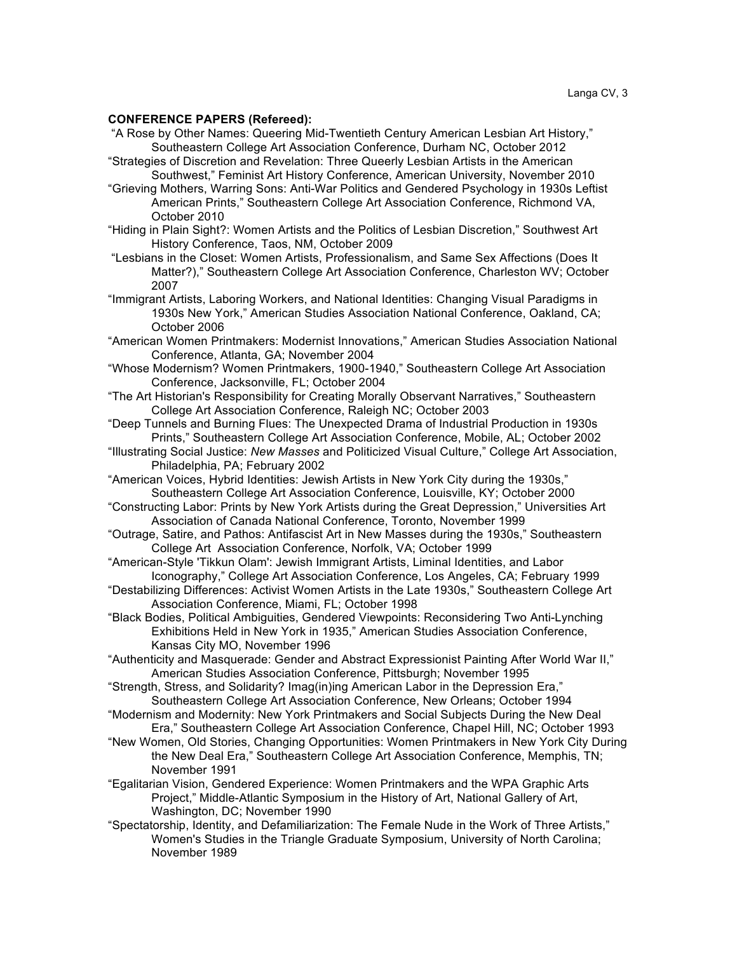#### **CONFERENCE PAPERS (Refereed):**

- "A Rose by Other Names: Queering Mid-Twentieth Century American Lesbian Art History," Southeastern College Art Association Conference, Durham NC, October 2012
- "Strategies of Discretion and Revelation: Three Queerly Lesbian Artists in the American Southwest," Feminist Art History Conference, American University, November 2010
- "Grieving Mothers, Warring Sons: Anti-War Politics and Gendered Psychology in 1930s Leftist American Prints," Southeastern College Art Association Conference, Richmond VA, October 2010
- "Hiding in Plain Sight?: Women Artists and the Politics of Lesbian Discretion," Southwest Art History Conference, Taos, NM, October 2009
- "Lesbians in the Closet: Women Artists, Professionalism, and Same Sex Affections (Does It Matter?)," Southeastern College Art Association Conference, Charleston WV; October 2007
- "Immigrant Artists, Laboring Workers, and National Identities: Changing Visual Paradigms in 1930s New York," American Studies Association National Conference, Oakland, CA; October 2006
- "American Women Printmakers: Modernist Innovations," American Studies Association National Conference, Atlanta, GA; November 2004
- "Whose Modernism? Women Printmakers, 1900-1940," Southeastern College Art Association Conference, Jacksonville, FL; October 2004
- "The Art Historian's Responsibility for Creating Morally Observant Narratives," Southeastern College Art Association Conference, Raleigh NC; October 2003
- "Deep Tunnels and Burning Flues: The Unexpected Drama of Industrial Production in 1930s Prints," Southeastern College Art Association Conference, Mobile, AL; October 2002
- "Illustrating Social Justice: *New Masses* and Politicized Visual Culture," College Art Association, Philadelphia, PA; February 2002
- "American Voices, Hybrid Identities: Jewish Artists in New York City during the 1930s," Southeastern College Art Association Conference, Louisville, KY; October 2000
- "Constructing Labor: Prints by New York Artists during the Great Depression," Universities Art Association of Canada National Conference, Toronto, November 1999
- "Outrage, Satire, and Pathos: Antifascist Art in New Masses during the 1930s," Southeastern College Art Association Conference, Norfolk, VA; October 1999
- "American-Style 'Tikkun Olam': Jewish Immigrant Artists, Liminal Identities, and Labor Iconography," College Art Association Conference, Los Angeles, CA; February 1999
- "Destabilizing Differences: Activist Women Artists in the Late 1930s," Southeastern College Art Association Conference, Miami, FL; October 1998
- "Black Bodies, Political Ambiguities, Gendered Viewpoints: Reconsidering Two Anti-Lynching Exhibitions Held in New York in 1935," American Studies Association Conference, Kansas City MO, November 1996
- "Authenticity and Masquerade: Gender and Abstract Expressionist Painting After World War II," American Studies Association Conference, Pittsburgh; November 1995
- "Strength, Stress, and Solidarity? Imag(in)ing American Labor in the Depression Era," Southeastern College Art Association Conference, New Orleans; October 1994
- "Modernism and Modernity: New York Printmakers and Social Subjects During the New Deal Era," Southeastern College Art Association Conference, Chapel Hill, NC; October 1993
- "New Women, Old Stories, Changing Opportunities: Women Printmakers in New York City During the New Deal Era," Southeastern College Art Association Conference, Memphis, TN; November 1991
- "Egalitarian Vision, Gendered Experience: Women Printmakers and the WPA Graphic Arts Project," Middle-Atlantic Symposium in the History of Art, National Gallery of Art, Washington, DC; November 1990
- "Spectatorship, Identity, and Defamiliarization: The Female Nude in the Work of Three Artists," Women's Studies in the Triangle Graduate Symposium, University of North Carolina; November 1989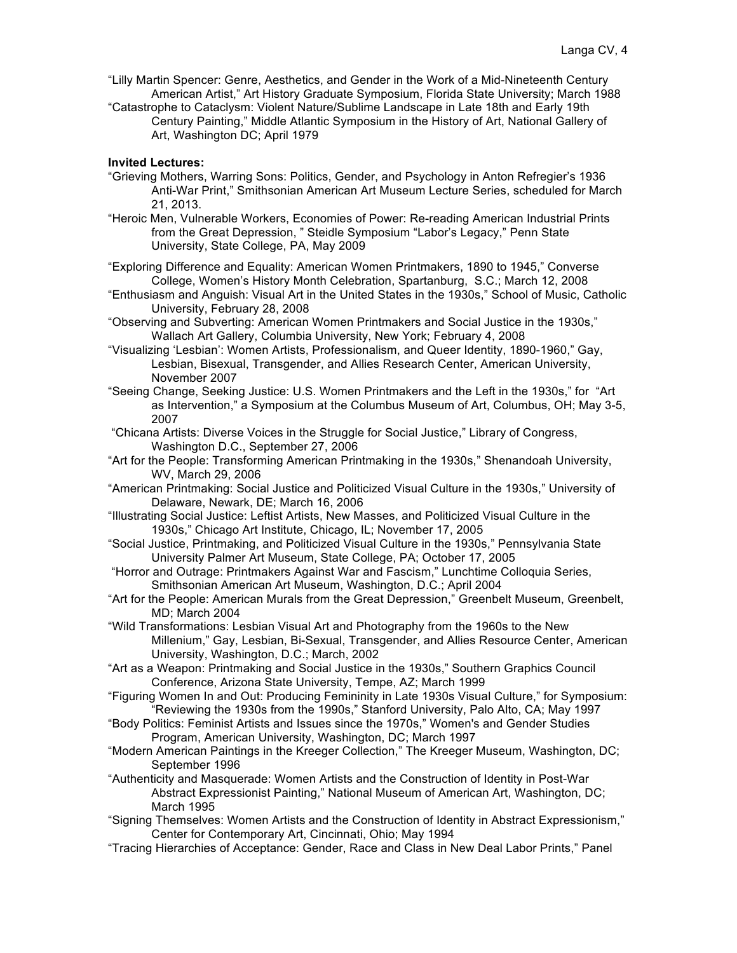- "Lilly Martin Spencer: Genre, Aesthetics, and Gender in the Work of a Mid-Nineteenth Century American Artist," Art History Graduate Symposium, Florida State University; March 1988
- "Catastrophe to Cataclysm: Violent Nature/Sublime Landscape in Late 18th and Early 19th Century Painting," Middle Atlantic Symposium in the History of Art, National Gallery of Art, Washington DC; April 1979

### **Invited Lectures:**

- "Grieving Mothers, Warring Sons: Politics, Gender, and Psychology in Anton Refregier's 1936 Anti-War Print," Smithsonian American Art Museum Lecture Series, scheduled for March 21, 2013.
- "Heroic Men, Vulnerable Workers, Economies of Power: Re-reading American Industrial Prints from the Great Depression, " Steidle Symposium "Labor's Legacy," Penn State University, State College, PA, May 2009
- "Exploring Difference and Equality: American Women Printmakers, 1890 to 1945," Converse College, Women's History Month Celebration, Spartanburg, S.C.; March 12, 2008
- "Enthusiasm and Anguish: Visual Art in the United States in the 1930s," School of Music, Catholic University, February 28, 2008
- "Observing and Subverting: American Women Printmakers and Social Justice in the 1930s," Wallach Art Gallery, Columbia University, New York; February 4, 2008
- "Visualizing 'Lesbian': Women Artists, Professionalism, and Queer Identity, 1890-1960," Gay, Lesbian, Bisexual, Transgender, and Allies Research Center, American University, November 2007
- "Seeing Change, Seeking Justice: U.S. Women Printmakers and the Left in the 1930s," for "Art as Intervention," a Symposium at the Columbus Museum of Art, Columbus, OH; May 3-5, 2007
- "Chicana Artists: Diverse Voices in the Struggle for Social Justice," Library of Congress, Washington D.C., September 27, 2006
- "Art for the People: Transforming American Printmaking in the 1930s," Shenandoah University, WV, March 29, 2006
- "American Printmaking: Social Justice and Politicized Visual Culture in the 1930s," University of Delaware, Newark, DE; March 16, 2006
- "Illustrating Social Justice: Leftist Artists, New Masses, and Politicized Visual Culture in the 1930s," Chicago Art Institute, Chicago, IL; November 17, 2005
- "Social Justice, Printmaking, and Politicized Visual Culture in the 1930s," Pennsylvania State University Palmer Art Museum, State College, PA; October 17, 2005
- "Horror and Outrage: Printmakers Against War and Fascism," Lunchtime Colloquia Series, Smithsonian American Art Museum, Washington, D.C.; April 2004
- "Art for the People: American Murals from the Great Depression," Greenbelt Museum, Greenbelt, MD; March 2004
- "Wild Transformations: Lesbian Visual Art and Photography from the 1960s to the New Millenium," Gay, Lesbian, Bi-Sexual, Transgender, and Allies Resource Center, American University, Washington, D.C.; March, 2002
- "Art as a Weapon: Printmaking and Social Justice in the 1930s," Southern Graphics Council Conference, Arizona State University, Tempe, AZ; March 1999
- "Figuring Women In and Out: Producing Femininity in Late 1930s Visual Culture," for Symposium: "Reviewing the 1930s from the 1990s," Stanford University, Palo Alto, CA; May 1997
- "Body Politics: Feminist Artists and Issues since the 1970s," Women's and Gender Studies Program, American University, Washington, DC; March 1997
- "Modern American Paintings in the Kreeger Collection," The Kreeger Museum, Washington, DC; September 1996
- "Authenticity and Masquerade: Women Artists and the Construction of Identity in Post-War Abstract Expressionist Painting," National Museum of American Art, Washington, DC; March 1995
- "Signing Themselves: Women Artists and the Construction of Identity in Abstract Expressionism," Center for Contemporary Art, Cincinnati, Ohio; May 1994
- "Tracing Hierarchies of Acceptance: Gender, Race and Class in New Deal Labor Prints," Panel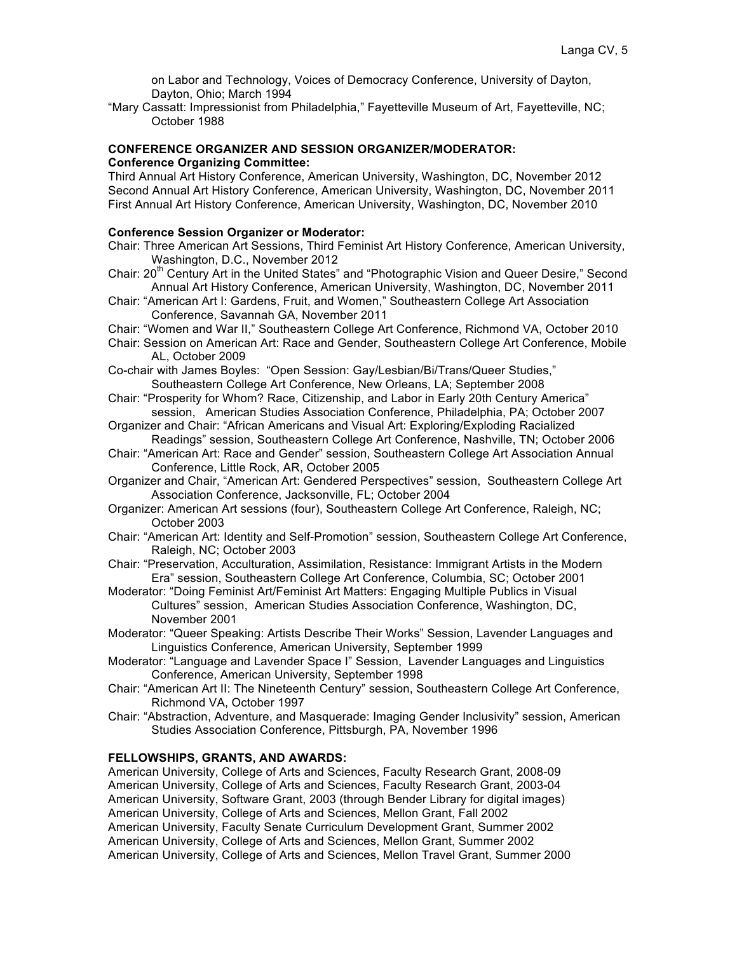on Labor and Technology, Voices of Democracy Conference, University of Dayton, Dayton, Ohio; March 1994

"Mary Cassatt: Impressionist from Philadelphia," Fayetteville Museum of Art, Fayetteville, NC; October 1988

# **CONFERENCE ORGANIZER AND SESSION ORGANIZER/MODERATOR: Conference Organizing Committee:**

Third Annual Art History Conference, American University, Washington, DC, November 2012 Second Annual Art History Conference, American University, Washington, DC, November 2011 First Annual Art History Conference, American University, Washington, DC, November 2010

### **Conference Session Organizer or Moderator:**

- Chair: Three American Art Sessions, Third Feminist Art History Conference, American University, Washington, D.C., November 2012
- Chair: 20<sup>th</sup> Century Art in the United States" and "Photographic Vision and Queer Desire," Second Annual Art History Conference, American University, Washington, DC, November 2011
- Chair: "American Art I: Gardens, Fruit, and Women," Southeastern College Art Association Conference, Savannah GA, November 2011
- Chair: "Women and War II," Southeastern College Art Conference, Richmond VA, October 2010
- Chair: Session on American Art: Race and Gender, Southeastern College Art Conference, Mobile AL, October 2009
- Co-chair with James Boyles: "Open Session: Gay/Lesbian/Bi/Trans/Queer Studies," Southeastern College Art Conference, New Orleans, LA; September 2008
- Chair: "Prosperity for Whom? Race, Citizenship, and Labor in Early 20th Century America" session, American Studies Association Conference, Philadelphia, PA; October 2007
- Organizer and Chair: "African Americans and Visual Art: Exploring/Exploding Racialized Readings" session, Southeastern College Art Conference, Nashville, TN; October 2006
- Chair: "American Art: Race and Gender" session, Southeastern College Art Association Annual Conference, Little Rock, AR, October 2005
- Organizer and Chair, "American Art: Gendered Perspectives" session, Southeastern College Art Association Conference, Jacksonville, FL; October 2004
- Organizer: American Art sessions (four), Southeastern College Art Conference, Raleigh, NC; October 2003
- Chair: "American Art: Identity and Self-Promotion" session, Southeastern College Art Conference, Raleigh, NC; October 2003
- Chair: "Preservation, Acculturation, Assimilation, Resistance: Immigrant Artists in the Modern Era" session, Southeastern College Art Conference, Columbia, SC; October 2001
- Moderator: "Doing Feminist Art/Feminist Art Matters: Engaging Multiple Publics in Visual Cultures" session, American Studies Association Conference, Washington, DC, November 2001
- Moderator: "Queer Speaking: Artists Describe Their Works" Session, Lavender Languages and Linguistics Conference, American University, September 1999
- Moderator: "Language and Lavender Space I" Session, Lavender Languages and Linguistics Conference, American University, September 1998
- Chair: "American Art II: The Nineteenth Century" session, Southeastern College Art Conference, Richmond VA, October 1997
- Chair: "Abstraction, Adventure, and Masquerade: Imaging Gender Inclusivity" session, American Studies Association Conference, Pittsburgh, PA, November 1996

# **FELLOWSHIPS, GRANTS, AND AWARDS:**

American University, College of Arts and Sciences, Faculty Research Grant, 2008-09 American University, College of Arts and Sciences, Faculty Research Grant, 2003-04

American University, Software Grant, 2003 (through Bender Library for digital images)

American University, College of Arts and Sciences, Mellon Grant, Fall 2002

American University, Faculty Senate Curriculum Development Grant, Summer 2002

American University, College of Arts and Sciences, Mellon Grant, Summer 2002

American University, College of Arts and Sciences, Mellon Travel Grant, Summer 2000